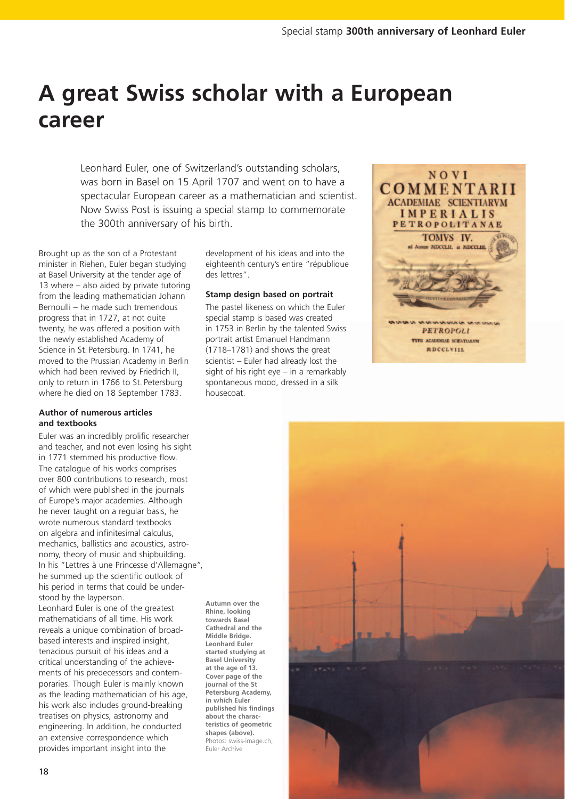# **A great Swiss scholar with a European career**

Leonhard Euler, one of Switzerland's outstanding scholars, was born in Basel on 15 April 1707 and went on to have a spectacular European career as a mathematician and scientist. Now Swiss Post is issuing a special stamp to commemorate the 300th anniversary of his birth.

> **Autumn over the Rhine, looking towards Basel Cathedral and the Middle Bridge. Leonhard Euler**

> **Basel University at the age of 13. Cover page of the journal of the St**

**in which Euler** 

**about the charac-**

**shapes (above).**

Euler Archive

Brought up as the son of a Protestant minister in Riehen, Euler began studying at Basel University at the tender age of 13 where – also aided by private tutoring from the leading mathematician Johann Bernoulli – he made such tremendous progress that in 1727, at not quite twenty, he was offered a position with the newly established Academy of Science in St. Petersburg. In 1741, he moved to the Prussian Academy in Berlin which had been revived by Friedrich II, only to return in 1766 to St. Petersburg where he died on 18 September 1783.

## **Author of numerous articles and textbooks**

Euler was an incredibly prolific researcher and teacher, and not even losing his sight in 1771 stemmed his productive flow. The catalogue of his works comprises over 800 contributions to research, most of which were published in the journals of Europe's major academies. Although he never taught on a regular basis, he wrote numerous standard textbooks on algebra and infinitesimal calculus, mechanics, ballistics and acoustics, astronomy, theory of music and shipbuilding. In his "Lettres à une Princesse d'Allemagne", he summed up the scientific outlook of his period in terms that could be understood by the layperson.

Leonhard Euler is one of the greatest mathematicians of all time. His work reveals a unique combination of broadbased interests and inspired insight, tenacious pursuit of his ideas and a critical understanding of the achievements of his predecessors and contemporaries. Though Euler is mainly known as the leading mathematician of his age, his work also includes ground-breaking treatises on physics, astronomy and engineering. In addition, he conducted an extensive correspondence which provides important insight into the

development of his ideas and into the eighteenth century's entire "république des lettres".

# **Stamp design based on portrait**

The pastel likeness on which the Euler special stamp is based was created in 1753 in Berlin by the talented Swiss portrait artist Emanuel Handmann (1718–1781) and shows the great scientist – Euler had already lost the sight of his right eye – in a remarkably spontaneous mood, dressed in a silk housecoat.